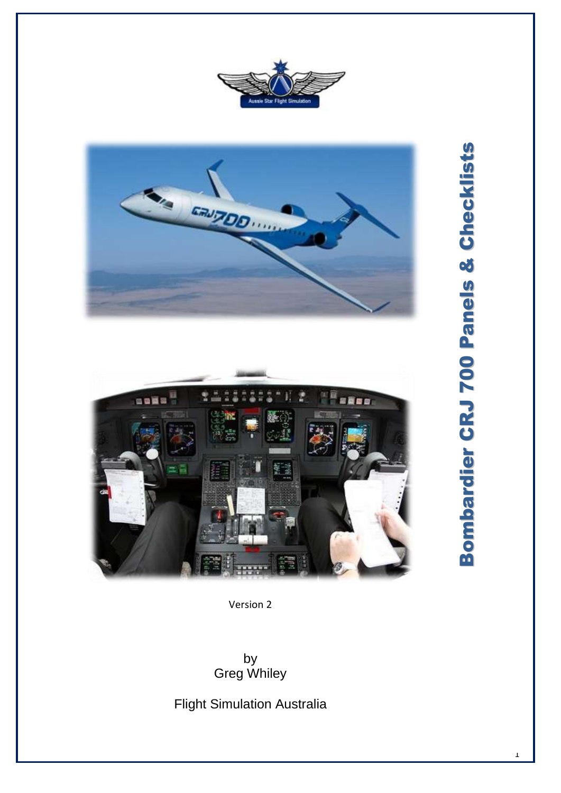





Version 2

by Greg Whiley

Flight Simulation Australia

1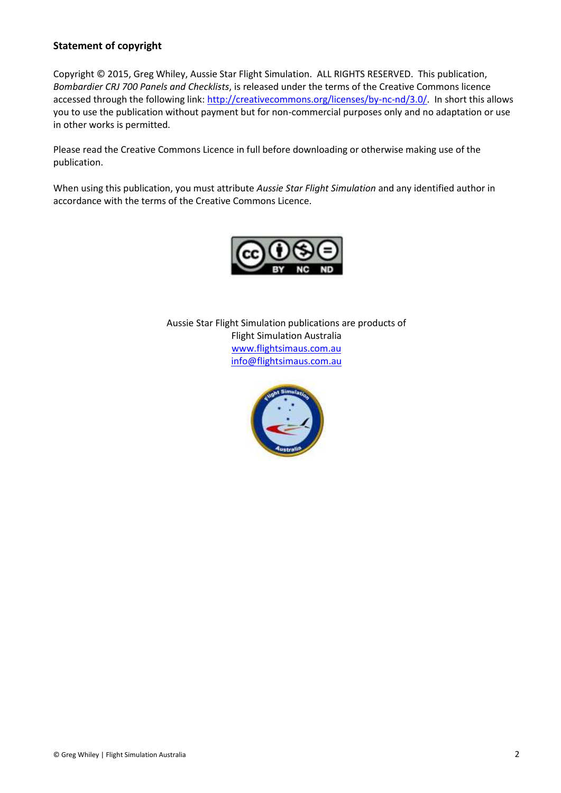### **Statement of copyright**

Copyright © 2015, Greg Whiley, Aussie Star Flight Simulation. ALL RIGHTS RESERVED. This publication, *Bombardier CRJ 700 Panels and Checklists*, is released under the terms of the Creative Commons licence accessed through the following link: [http://creativecommons.org/licenses/by-nc-nd/3.0/.](http://creativecommons.org/licenses/by-nc-nd/3.0/) In short this allows you to use the publication without payment but for non-commercial purposes only and no adaptation or use in other works is permitted.

Please read the Creative Commons Licence in full before downloading or otherwise making use of the publication.

When using this publication, you must attribute *Aussie Star Flight Simulation* and any identified author in accordance with the terms of the Creative Commons Licence.



Aussie Star Flight Simulation publications are products of Flight Simulation Australia [www.flightsimaus.com.au](http://www.flightsimaus.com.au/) <info@flightsimaus.com.au>

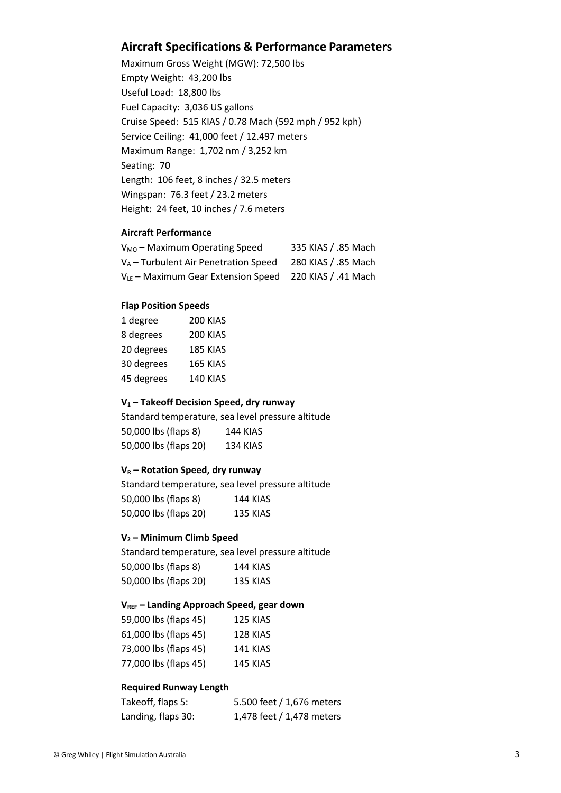### **Aircraft Specifications & Performance Parameters**

Maximum Gross Weight (MGW): 72,500 lbs Empty Weight: 43,200 lbs Useful Load: 18,800 lbs Fuel Capacity: 3,036 US gallons Cruise Speed: 515 KIAS / 0.78 Mach (592 mph / 952 kph) Service Ceiling: 41,000 feet / 12.497 meters Maximum Range: 1,702 nm / 3,252 km Seating: 70 Length: 106 feet, 8 inches / 32.5 meters Wingspan: 76.3 feet / 23.2 meters Height: 24 feet, 10 inches / 7.6 meters

#### **Aircraft Performance**

| $V_{MO}$ – Maximum Operating Speed      | 335 KIAS / .85 Mach |
|-----------------------------------------|---------------------|
| $V_A$ – Turbulent Air Penetration Speed | 280 KIAS / .85 Mach |
| $V_{LE}$ – Maximum Gear Extension Speed | 220 KIAS / .41 Mach |

#### **Flap Position Speeds**

| 1 degree   | <b>200 KIAS</b> |
|------------|-----------------|
| 8 degrees  | <b>200 KIAS</b> |
| 20 degrees | 185 KIAS        |
| 30 degrees | 165 KIAS        |
| 45 degrees | 140 KIAS        |
|            |                 |

#### **V<sup>1</sup> – Takeoff Decision Speed, dry runway**

Standard temperature, sea level pressure altitude 50,000 lbs (flaps 8) 144 KIAS 50,000 lbs (flaps 20) 134 KIAS

#### **V<sup>R</sup> – Rotation Speed, dry runway**

Standard temperature, sea level pressure altitude 50,000 lbs (flaps 8) 144 KIAS 50,000 lbs (flaps 20) 135 KIAS

#### **V<sup>2</sup> – Minimum Climb Speed**

Standard temperature, sea level pressure altitude 50,000 lbs (flaps 8) 144 KIAS 50,000 lbs (flaps 20) 135 KIAS

#### **VREF – Landing Approach Speed, gear down**

| 59,000 lbs (flaps 45) | <b>125 KIAS</b> |
|-----------------------|-----------------|
| 61,000 lbs (flaps 45) | 128 KIAS        |
| 73,000 lbs (flaps 45) | <b>141 KIAS</b> |
| 77,000 lbs (flaps 45) | 145 KIAS        |

#### **Required Runway Length**

| Takeoff, flaps 5:  | 5.500 feet / 1,676 meters |
|--------------------|---------------------------|
| Landing, flaps 30: | 1,478 feet / 1,478 meters |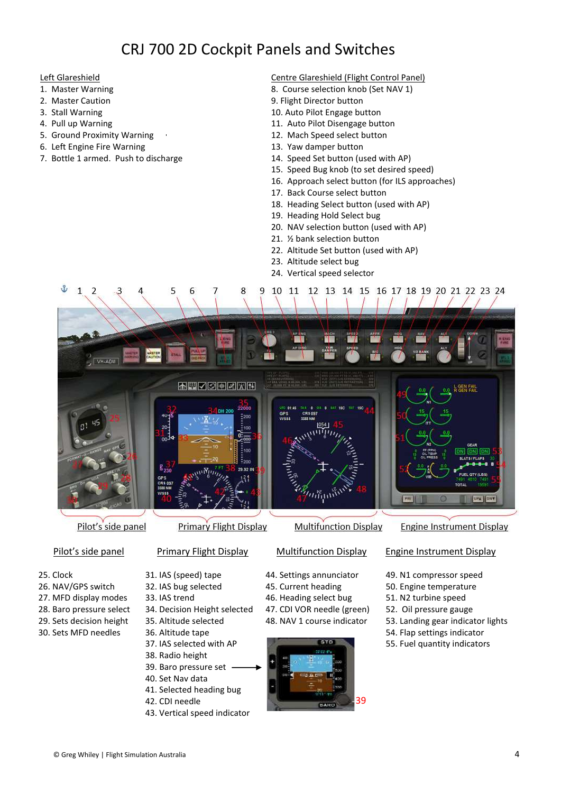# CRJ 700 2D Cockpit Panels and Switches

#### Left Glareshield

- 1. Master Warning
- 2. Master Caution
- 3. Stall Warning
- 4. Pull up Warning
- 5. Ground Proximity Warning
- 6. Left Engine Fire Warning
- 7. Bottle 1 armed. Push to discharge

#### Centre Glareshield (Flight Control Panel)

- 8. Course selection knob (Set NAV 1)
- 9. Flight Director button
- 10. Auto Pilot Engage button
- 11. Auto Pilot Disengage button
- 12. Mach Speed select button
- 13. Yaw damper button
- 14. Speed Set button (used with AP)
- 15. Speed Bug knob (to set desired speed)
- 16. Approach select button (for ILS approaches)
- 17. Back Course select button
- 18. Heading Select button (used with AP)
- 19. Heading Hold Select bug
- 20. NAV selection button (used with AP)
- 21. ½ bank selection button
- 22. Altitude Set button (used with AP)
- 23. Altitude select bug
- 24. Vertical speed selector



- 
- 26. NAV/GPS switch
- 27. MFD display modes
- 28. Baro pressure select
- 29. Sets decision height
- 30. Sets MFD needles
- 32. IAS bug selected
- 33. IAS trend
- 34. Decision Height selected
- 35. Altitude selected
- 36. Altitude tape
- 37. IAS selected with AP 38. Radio height
- 39. Baro pressure set
- 40. Set Nav data
- 
- 41. Selected heading bug
- 42. CDI needle
- 43. Vertical speed indicator
- 45. Current heading
- 46. Heading select bug
- 47. CDI VOR needle (green) 48. NAV 1 course indicator
- 



- 50. Engine temperature
- 51. N2 turbine speed
- 52. Oil pressure gauge
- 53. Landing gear indicator lights
- 54. Flap settings indicator
- 55. Fuel quantity indicators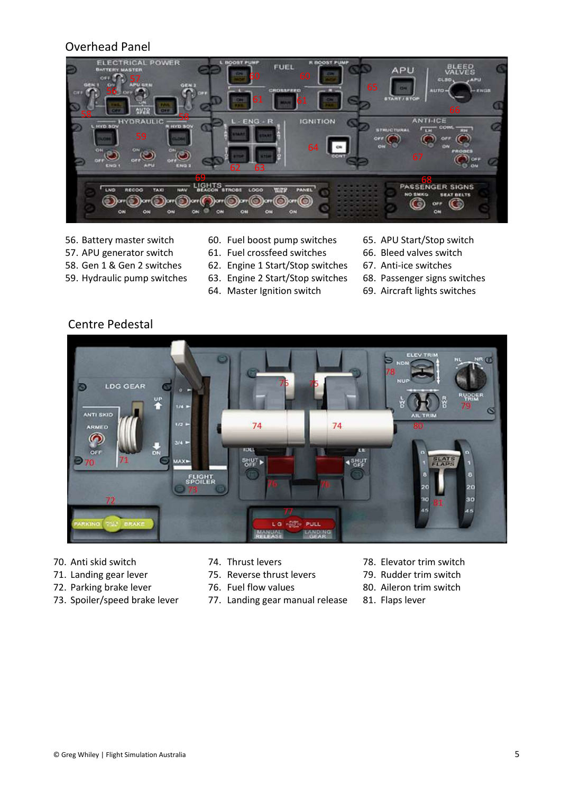### Overhead Panel



- 56. Battery master switch 57. APU generator switch
- 60. Fuel boost pump switches 61. Fuel crossfeed switches
	- 62. Engine 1 Start/Stop switches
- 58. Gen 1 & Gen 2 switches 59. Hydraulic pump switches
	- 63. Engine 2 Start/Stop switches
	- 64. Master Ignition switch
- 65. APU Start/Stop switch
- 66. Bleed valves switch
- 67. Anti-ice switches
- 68. Passenger signs switches
- 69. Aircraft lights switches

### Centre Pedestal



- 70. Anti skid switch
- 71. Landing gear lever
- 72. Parking brake lever
- 73. Spoiler/speed brake lever
- 74. Thrust levers
- 75. Reverse thrust levers
- 76. Fuel flow values
- 77. Landing gear manual release
- 78. Elevator trim switch
- 79. Rudder trim switch
- 80. Aileron trim switch
- 81. Flaps lever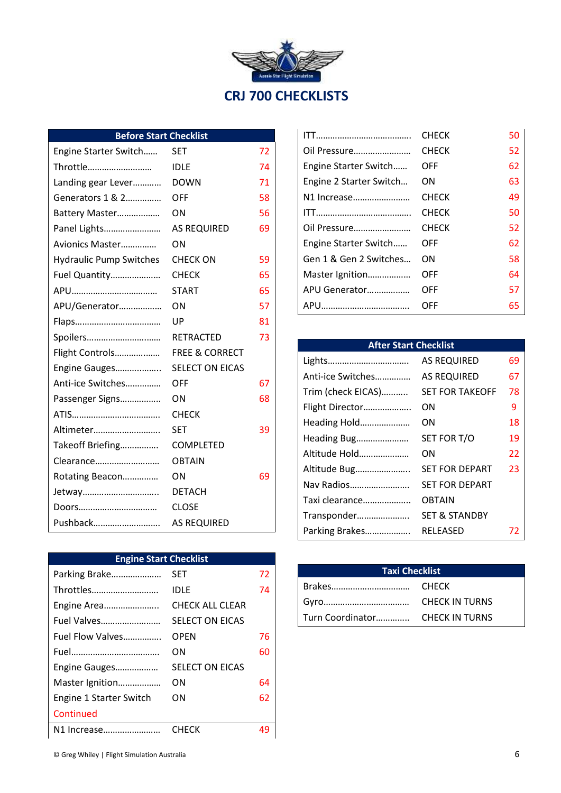| Aussie Star Fäght Simulation<br><b>CRJ 700 CHECKLISTS</b> |
|-----------------------------------------------------------|

## **Before Start Checklist**

| Throttle<br>74<br><b>IDLE</b><br>71<br><b>DOWN</b><br>Landing gear Lever<br>Generators 1 & 2<br><b>OFF</b><br>58<br>56<br>ON<br>Battery Master<br>Panel Lights<br><b>AS REQUIRED</b><br>69<br>Avionics Master<br>ΟN<br><b>Hydraulic Pump Switches</b><br>CHECK ON<br>59<br>65<br>Fuel Quantity<br>CHECK<br>65<br><b>START</b><br>ON<br>57<br>APU/Generator<br>81<br>UP<br>Spoilers<br>73<br><b>RETRACTED</b><br>Flight Controls<br><b>FREE &amp; CORRECT</b><br><b>SELECT ON EICAS</b><br>Engine Gauges<br>Anti-ice Switches<br>OFF<br>67<br>ON<br>Passenger Signs<br>68<br><b>CHECK</b><br>Altimeter<br>39<br>SET<br>Takeoff Briefing<br><b>COMPLETED</b><br><b>OBTAIN</b><br>Clearance<br>69<br>Rotating Beacon<br>ΟN<br>Jetway<br><b>DETACH</b><br><b>CLOSE</b><br>Doors<br>Pushback<br><b>AS REQUIRED</b> | Engine Starter Switch | <b>SET</b> | 72 |
|---------------------------------------------------------------------------------------------------------------------------------------------------------------------------------------------------------------------------------------------------------------------------------------------------------------------------------------------------------------------------------------------------------------------------------------------------------------------------------------------------------------------------------------------------------------------------------------------------------------------------------------------------------------------------------------------------------------------------------------------------------------------------------------------------------------|-----------------------|------------|----|
|                                                                                                                                                                                                                                                                                                                                                                                                                                                                                                                                                                                                                                                                                                                                                                                                               |                       |            |    |
|                                                                                                                                                                                                                                                                                                                                                                                                                                                                                                                                                                                                                                                                                                                                                                                                               |                       |            |    |
|                                                                                                                                                                                                                                                                                                                                                                                                                                                                                                                                                                                                                                                                                                                                                                                                               |                       |            |    |
|                                                                                                                                                                                                                                                                                                                                                                                                                                                                                                                                                                                                                                                                                                                                                                                                               |                       |            |    |
|                                                                                                                                                                                                                                                                                                                                                                                                                                                                                                                                                                                                                                                                                                                                                                                                               |                       |            |    |
|                                                                                                                                                                                                                                                                                                                                                                                                                                                                                                                                                                                                                                                                                                                                                                                                               |                       |            |    |
|                                                                                                                                                                                                                                                                                                                                                                                                                                                                                                                                                                                                                                                                                                                                                                                                               |                       |            |    |
|                                                                                                                                                                                                                                                                                                                                                                                                                                                                                                                                                                                                                                                                                                                                                                                                               |                       |            |    |
|                                                                                                                                                                                                                                                                                                                                                                                                                                                                                                                                                                                                                                                                                                                                                                                                               |                       |            |    |
|                                                                                                                                                                                                                                                                                                                                                                                                                                                                                                                                                                                                                                                                                                                                                                                                               |                       |            |    |
|                                                                                                                                                                                                                                                                                                                                                                                                                                                                                                                                                                                                                                                                                                                                                                                                               |                       |            |    |
|                                                                                                                                                                                                                                                                                                                                                                                                                                                                                                                                                                                                                                                                                                                                                                                                               |                       |            |    |
|                                                                                                                                                                                                                                                                                                                                                                                                                                                                                                                                                                                                                                                                                                                                                                                                               |                       |            |    |
|                                                                                                                                                                                                                                                                                                                                                                                                                                                                                                                                                                                                                                                                                                                                                                                                               |                       |            |    |
|                                                                                                                                                                                                                                                                                                                                                                                                                                                                                                                                                                                                                                                                                                                                                                                                               |                       |            |    |
|                                                                                                                                                                                                                                                                                                                                                                                                                                                                                                                                                                                                                                                                                                                                                                                                               |                       |            |    |
|                                                                                                                                                                                                                                                                                                                                                                                                                                                                                                                                                                                                                                                                                                                                                                                                               |                       |            |    |
|                                                                                                                                                                                                                                                                                                                                                                                                                                                                                                                                                                                                                                                                                                                                                                                                               |                       |            |    |
|                                                                                                                                                                                                                                                                                                                                                                                                                                                                                                                                                                                                                                                                                                                                                                                                               |                       |            |    |
|                                                                                                                                                                                                                                                                                                                                                                                                                                                                                                                                                                                                                                                                                                                                                                                                               |                       |            |    |
|                                                                                                                                                                                                                                                                                                                                                                                                                                                                                                                                                                                                                                                                                                                                                                                                               |                       |            |    |
|                                                                                                                                                                                                                                                                                                                                                                                                                                                                                                                                                                                                                                                                                                                                                                                                               |                       |            |    |
|                                                                                                                                                                                                                                                                                                                                                                                                                                                                                                                                                                                                                                                                                                                                                                                                               |                       |            |    |
|                                                                                                                                                                                                                                                                                                                                                                                                                                                                                                                                                                                                                                                                                                                                                                                                               |                       |            |    |

| <b>Engine Start Checklist</b> |                        |    |
|-------------------------------|------------------------|----|
| Parking Brake                 | SET                    | 72 |
| Throttles                     | IDLE                   | 74 |
| Engine Area                   | CHECK ALL CLEAR        |    |
| Fuel Valves                   | <b>SELECT ON EICAS</b> |    |
| Fuel Flow Valves              | OPEN                   | 76 |
|                               | OΝ                     | 60 |
| Engine Gauges                 | <b>SELECT ON EICAS</b> |    |
| Master Ignition               | OΝ                     | 64 |
| Engine 1 Starter Switch       | OΝ                     | 62 |
| Continued                     |                        |    |
| N1 Increase                   | <b>CHECK</b>           | 49 |

|                         | CHECK        | 50 |
|-------------------------|--------------|----|
| Oil Pressure            | <b>CHECK</b> | 52 |
| Engine Starter Switch   | OFF          | 62 |
| Engine 2 Starter Switch | ON           | 63 |
| N1 Increase             | <b>CHECK</b> | 49 |
|                         | <b>CHECK</b> | 50 |
| Oil Pressure            | <b>CHECK</b> | 52 |
| Engine Starter Switch   | OFF          | 62 |
| Gen 1 & Gen 2 Switches  | OΝ           | 58 |
| Master Ignition         | OFF          | 64 |
| APU Generator           | OFF          | 57 |
|                         | OFF          | 65 |

| <b>AS REQUIRED</b>       | 69                           |
|--------------------------|------------------------------|
| <b>AS REQUIRED</b>       | 67                           |
| <b>SET FOR TAKEOFF</b>   | 78                           |
| OΝ                       | 9                            |
| OΝ                       | 18                           |
| SET FOR T/O              | 19                           |
| ΟN                       | 22                           |
| <b>SET FOR DEPART</b>    | 23                           |
| <b>SET FOR DEPART</b>    |                              |
| <b>OBTAIN</b>            |                              |
| <b>SET &amp; STANDBY</b> |                              |
| RELEASED                 | 72                           |
|                          | <b>After Start Checklist</b> |

| <b>Taxi Checklist</b>           |  |
|---------------------------------|--|
|                                 |  |
|                                 |  |
| Turn Coordinator CHECK IN TURNS |  |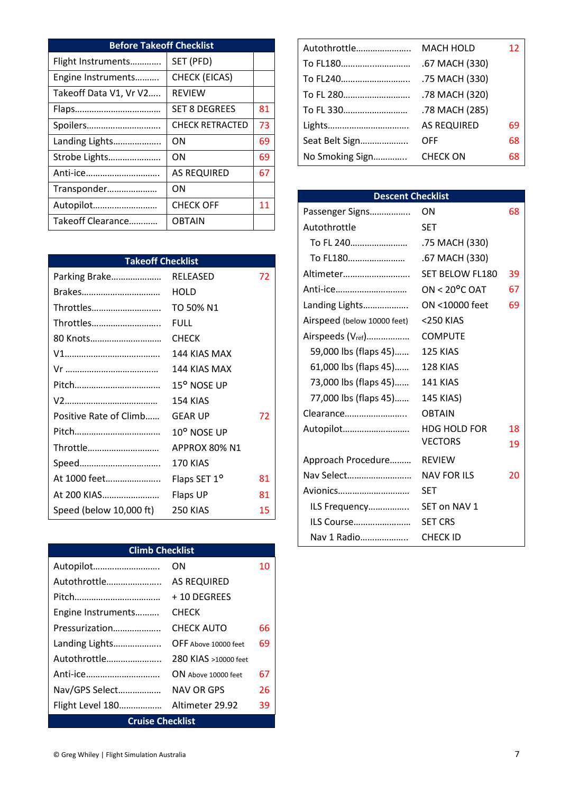| <b>Before Takeoff Checklist</b> |                        |    |
|---------------------------------|------------------------|----|
| Flight Instruments              | SET (PFD)              |    |
| Engine Instruments              | <b>CHECK (EICAS)</b>   |    |
| Takeoff Data V1, Vr V2          | <b>REVIEW</b>          |    |
|                                 | <b>SET 8 DEGREES</b>   | 81 |
| Spoilers                        | <b>CHECK RETRACTED</b> | 73 |
| Landing Lights                  | ΩN                     | 69 |
| Strobe Lights                   | ΟN                     | 69 |
| Anti-ice                        | <b>AS REQUIRED</b>     | 67 |
| Transponder                     | OΝ                     |    |
| Autopilot                       | <b>CHECK OFF</b>       | 11 |
| Takeoff Clearance               | <b>OBTAIN</b>          |    |

| <b>Takeoff Checklist</b> |                          |    |
|--------------------------|--------------------------|----|
| Parking Brake            | <b>RELEASED</b>          | 72 |
| Brakes                   | HOLD                     |    |
| Throttles                | TO 50% N1                |    |
| Throttles                | FULL                     |    |
| 80 Knots                 | <b>CHECK</b>             |    |
|                          | 144 KIAS MAX             |    |
|                          | 144 KIAS MAX             |    |
|                          | 15° NOSE UP              |    |
|                          | 154 KIAS                 |    |
| Positive Rate of Climb   | <b>GEAR UP</b>           | 72 |
|                          | 10° NOSE UP              |    |
| Throttle                 | APPROX 80% N1            |    |
| Speed                    | 170 KIAS                 |    |
| At 1000 feet             | Flaps SET 1 <sup>o</sup> | 81 |
| At 200 KIAS              | Flaps UP                 | 81 |
| Speed (below 10,000 ft)  | 250 KIAS                 | 15 |

| <b>Climb Checklist</b>  |                      |    |
|-------------------------|----------------------|----|
| Autopilot               | OΝ                   | 10 |
| Autothrottle            | <b>AS REQUIRED</b>   |    |
|                         | + 10 DEGREES         |    |
| Engine Instruments      | CHECK                |    |
| Pressurization          | CHECK AUTO           | 66 |
| Landing Lights          | OFF Above 10000 feet | 69 |
| Autothrottle            | 280 KIAS >10000 feet |    |
| Anti-ice                | ON Above 10000 feet  | 67 |
| Nav/GPS Select          | NAV OR GPS           | 26 |
| Flight Level 180        | Altimeter 29.92      | 39 |
| <b>Cruise Checklist</b> |                      |    |

| Autothrottle    | MACH HOLD          | 12 |
|-----------------|--------------------|----|
| To FL180        | .67 MACH (330)     |    |
| To FL240        | .75 MACH (330)     |    |
| To FL 280       | .78 MACH (320)     |    |
| To FL 330       | .78 MACH (285)     |    |
| Lights          | <b>AS REQUIRED</b> | 69 |
| Seat Belt Sign  | OFF                | 68 |
| No Smoking Sign | <b>CHECK ON</b>    | 68 |
|                 |                    |    |

| <b>Descent Checklist</b>      |                         |    |
|-------------------------------|-------------------------|----|
| Passenger Signs               | ΟN                      | 68 |
| Autothrottle                  | <b>SET</b>              |    |
| To FL 240                     | .75 MACH (330)          |    |
| To FL180                      | .67 MACH (330)          |    |
| Altimeter                     | SET BELOW FL180         | 39 |
| Anti-ice                      | ON < $20^{\circ}$ C OAT | 67 |
| Landing Lights                | ON <10000 feet          | 69 |
| Airspeed (below 10000 feet)   | <250 KIAS               |    |
| Airspeeds (V <sub>ref</sub> ) | <b>COMPUTE</b>          |    |
| 59,000 lbs (flaps 45)         | 125 KIAS                |    |
| 61,000 lbs (flaps 45)         | 128 KIAS                |    |
| 73,000 lbs (flaps 45)         | 141 KIAS                |    |
| 77,000 lbs (flaps 45)         | 145 KIAS)               |    |
| Clearance                     | <b>OBTAIN</b>           |    |
| Autopilot                     | <b>HDG HOLD FOR</b>     | 18 |
|                               | <b>VECTORS</b>          | 19 |
| Approach Procedure            | <b>REVIEW</b>           |    |
| Nav Select                    | <b>NAV FOR ILS</b>      | 20 |
| Avionics                      | SET                     |    |
| ILS Frequency                 | SET on NAV 1            |    |
| ILS Course                    | <b>SET CRS</b>          |    |
| Nav 1 Radio                   | CHECK ID                |    |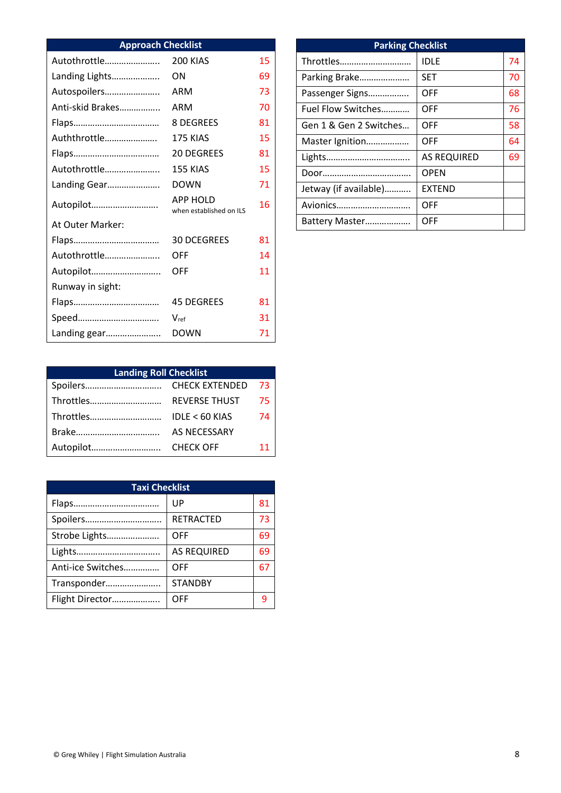| <b>Approach Checklist</b> |                                            |    |
|---------------------------|--------------------------------------------|----|
| Autothrottle              | 200 KIAS                                   | 15 |
| Landing Lights            | OΝ                                         | 69 |
| Autospoilers              | ARM                                        | 73 |
| Anti-skid Brakes          | ARM                                        | 70 |
|                           | 8 DEGREES                                  | 81 |
| Auththrottle              | 175 KIAS                                   | 15 |
|                           | <b>20 DEGREES</b>                          | 81 |
| Autothrottle              | 155 KIAS                                   | 15 |
| Landing Gear              | <b>DOWN</b>                                | 71 |
| Autopilot                 | <b>APP HOLD</b><br>when established on ILS | 16 |
| At Outer Marker:          |                                            |    |
|                           | <b>30 DCEGREES</b>                         | 81 |
| Autothrottle              | OFF                                        | 14 |
| Autopilot                 | OFF                                        | 11 |
| Runway in sight:          |                                            |    |
|                           | <b>45 DEGREES</b>                          | 81 |
|                           | $V_{ref}$                                  | 31 |
| Landing gear              | <b>DOWN</b>                                | 71 |

| <b>Parking Checklist</b> |                    |    |
|--------------------------|--------------------|----|
| Throttles                | <b>IDLE</b>        | 74 |
| Parking Brake            | <b>SET</b>         | 70 |
| Passenger Signs          | OFF                | 68 |
| Fuel Flow Switches       | OFF                | 76 |
| Gen 1 & Gen 2 Switches   | OFF                | 58 |
| Master Ignition          | OFF                | 64 |
|                          | <b>AS REQUIRED</b> | 69 |
|                          | <b>OPEN</b>        |    |
| Jetway (if available)    | <b>EXTEND</b>      |    |
| Avionics                 | OFF                |    |
| Battery Master           | OFF                |    |

| <b>Landing Roll Checklist</b> |                      |    |
|-------------------------------|----------------------|----|
|                               |                      | 73 |
|                               | <b>REVERSE THUST</b> | 75 |
| Throttles                     | $IDLE < 60$ KIAS     | 74 |
|                               | <b>AS NECESSARY</b>  |    |
| Autopilot                     | <b>CHECK OFF</b>     | 11 |

| <b>Taxi Checklist</b> |                    |    |
|-----------------------|--------------------|----|
|                       | UP                 | 81 |
| Spoilers              | <b>RETRACTED</b>   | 73 |
| Strobe Lights         | OFF                | 69 |
|                       | <b>AS REQUIRED</b> | 69 |
| Anti-ice Switches     | OFF                | 67 |
| Transponder           | <b>STANDBY</b>     |    |
| Flight Director       | OFF                |    |